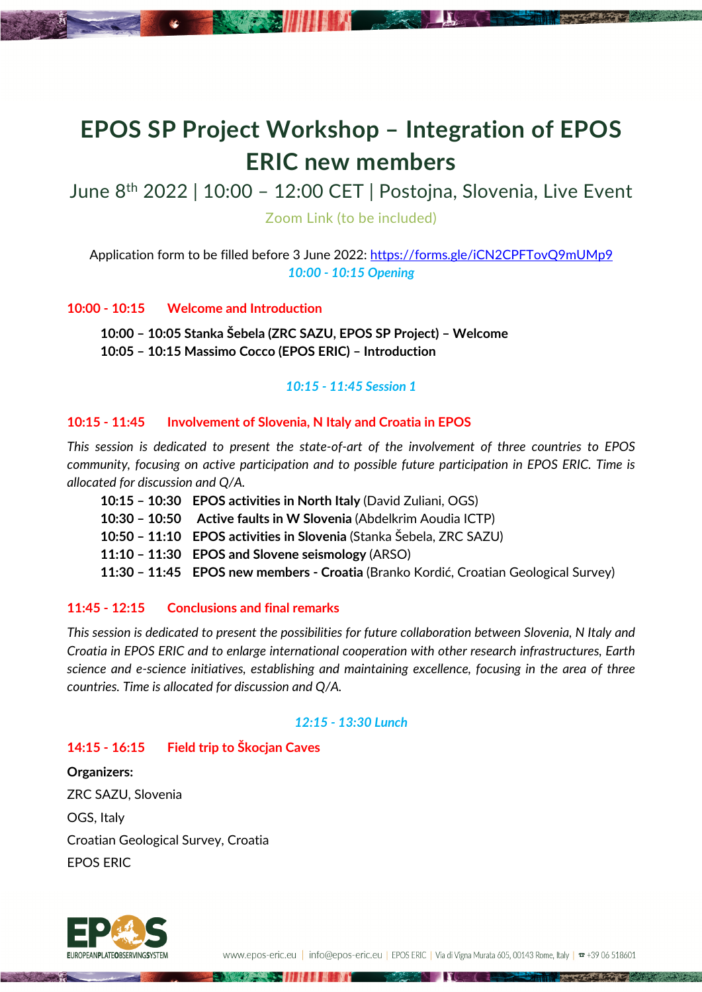# **EPOS SP Project Workshop – Integration of EPOS ERIC new members**

June 8th 2022 | 10:00 – 12:00 CET | Postojna, Slovenia, Live Event

Zoom Link (to be included)

Application form to be filled before 3 June 2022: https://forms.gle/iCN2CPFTovQ9mUMp9 *10:00 - 10:15 Opening*

### **10:00 - 10:15 Welcome and Introduction**

**10:00 – 10:05 Stanka Šebela (ZRC SAZU, EPOS SP Project) – Welcome 10:05 – 10:15 Massimo Cocco (EPOS ERIC) – Introduction**

### *10:15 - 11:45 Session 1*

# **10:15 - 11:45 Involvement of Slovenia, N Italy and Croatia in EPOS**

*This session is dedicated to present the state-of-art of the involvement of three countries to EPOS community, focusing on active participation and to possible future participation in EPOS ERIC. Time is allocated for discussion and Q/A.*

- **10:15 – 10:30 EPOS activities in North Italy** (David Zuliani, OGS)
- **10:30 – 10:50 Active faults in W Slovenia** (Abdelkrim Aoudia ICTP)

- **10:50 – 11:10 EPOS activities in Slovenia** (Stanka Šebela, ZRC SAZU)
- **11:10 – 11:30 EPOS and Slovene seismology** (ARSO)

**11:30 – 11:45 EPOS new members - Croatia** (Branko Kordić, Croatian Geological Survey)

# **11:45 - 12:15 Conclusions and final remarks**

*This session is dedicated to present the possibilities for future collaboration between Slovenia, N Italy and Croatia in EPOS ERIC and to enlarge international cooperation with other research infrastructures, Earth science and e-science initiatives, establishing and maintaining excellence, focusing in the area of three countries. Time is allocated for discussion and Q/A.*

# *12:15 - 13:30 Lunch*

# **14:15 - 16:15 Field trip to Škocjan Caves**

**Organizers:** ZRC SAZU, Slovenia OGS, Italy Croatian Geological Survey, Croatia EPOS ERIC